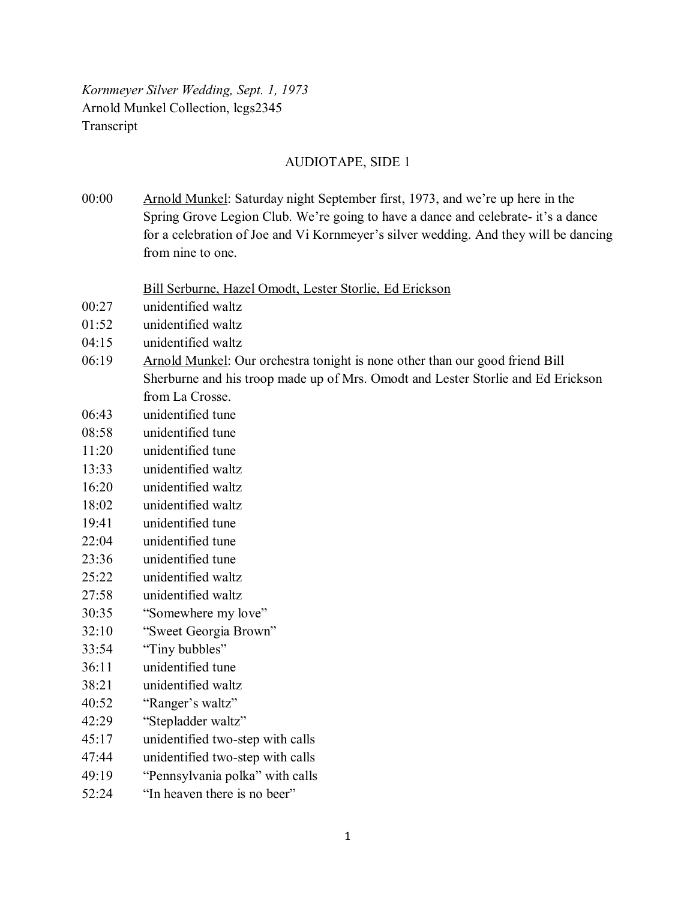*Kornmeyer Silver Wedding, Sept. 1, 1973* Arnold Munkel Collection, lcgs2345 Transcript

## AUDIOTAPE, SIDE 1

00:00 Arnold Munkel: Saturday night September first, 1973, and we're up here in the Spring Grove Legion Club. We're going to have a dance and celebrate- it's a dance for a celebration of Joe and Vi Kornmeyer's silver wedding. And they will be dancing from nine to one.

Bill Serburne, Hazel Omodt, Lester Storlie, Ed Erickson

- 00:27 unidentified waltz
- 01:52 unidentified waltz
- 04:15 unidentified waltz
- 06:19 Arnold Munkel: Our orchestra tonight is none other than our good friend Bill Sherburne and his troop made up of Mrs. Omodt and Lester Storlie and Ed Erickson from La Crosse.
- 06:43 unidentified tune
- 08:58 unidentified tune
- 11:20 unidentified tune
- 13:33 unidentified waltz
- 16:20 unidentified waltz
- 18:02 unidentified waltz
- 19:41 unidentified tune
- 22:04 unidentified tune
- 23:36 unidentified tune
- 25:22 unidentified waltz
- 27:58 unidentified waltz
- 30:35 "Somewhere my love"
- 32:10 "Sweet Georgia Brown"
- 33:54 "Tiny bubbles"
- 36:11 unidentified tune
- 38:21 unidentified waltz
- 40:52 "Ranger's waltz"
- 42:29 "Stepladder waltz"
- 45:17 unidentified two-step with calls
- 47:44 unidentified two-step with calls
- 49:19 "Pennsylvania polka" with calls
- 52:24 "In heaven there is no beer"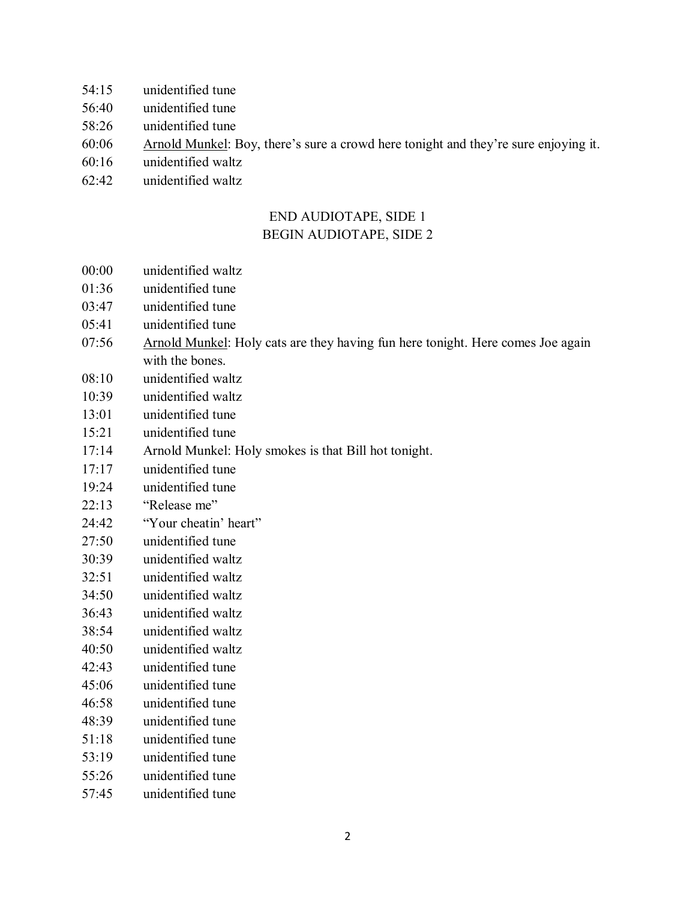- 54:15 unidentified tune
- 56:40 unidentified tune
- 58:26 unidentified tune
- 60:06 Arnold Munkel: Boy, there's sure a crowd here tonight and they're sure enjoying it.
- 60:16 unidentified waltz
- 62:42 unidentified waltz

## END AUDIOTAPE, SIDE 1 BEGIN AUDIOTAPE, SIDE 2

- 00:00 unidentified waltz
- 01:36 unidentified tune
- 03:47 unidentified tune
- 05:41 unidentified tune
- 07:56 Arnold Munkel: Holy cats are they having fun here tonight. Here comes Joe again with the bones.
- 08:10 unidentified waltz
- 10:39 unidentified waltz
- 13:01 unidentified tune
- 15:21 unidentified tune
- 17:14 Arnold Munkel: Holy smokes is that Bill hot tonight.
- 17:17 unidentified tune
- 19:24 unidentified tune
- 22:13 "Release me"
- 24:42 "Your cheatin' heart"
- 27:50 unidentified tune
- 30:39 unidentified waltz
- 32:51 unidentified waltz
- 34:50 unidentified waltz
- 36:43 unidentified waltz
- 38:54 unidentified waltz
- 40:50 unidentified waltz
- 42:43 unidentified tune
- 45:06 unidentified tune
- 46:58 unidentified tune
- 48:39 unidentified tune 51:18 unidentified tune
- 53:19 unidentified tune
- 55:26 unidentified tune
- 57:45 unidentified tune